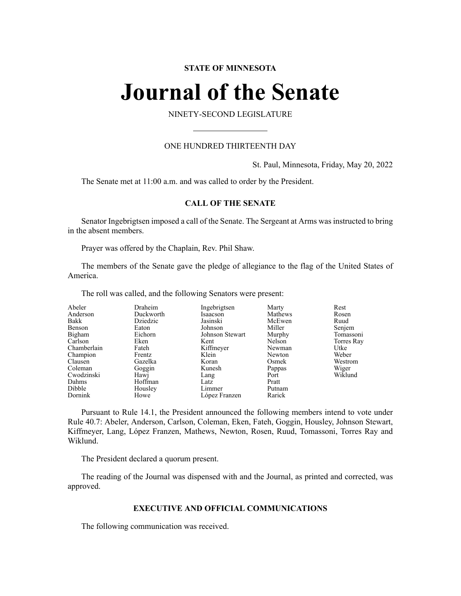# **STATE OF MINNESOTA**

# **Journal of the Senate**

NINETY-SECOND LEGISLATURE

# ONE HUNDRED THIRTEENTH DAY

St. Paul, Minnesota, Friday, May 20, 2022

The Senate met at 11:00 a.m. and was called to order by the President.

# **CALL OF THE SENATE**

Senator Ingebrigtsen imposed a call of the Senate. The Sergeant at Arms was instructed to bring in the absent members.

Prayer was offered by the Chaplain, Rev. Phil Shaw.

The members of the Senate gave the pledge of allegiance to the flag of the United States of America.

The roll was called, and the following Senators were present:

| Abeler<br>Anderson<br>Bakk<br>Benson<br>Bigham<br>Carlson<br>Chamberlain<br>Champion<br>Clausen | Draheim<br>Duckworth<br>Dziedzic<br>Eaton<br>Eichorn<br>Eken<br>Fateh<br>Frentz<br>Gazelka | Ingebrigtsen<br>Isaacson<br>Jasinski<br>Johnson<br>Johnson Stewart<br>Kent<br>Kiffmeyer<br>Klein<br>Koran | Marty<br>Mathews<br>McEwen<br>Miller<br>Murphy<br>Nelson<br>Newman<br>Newton<br>Osmek | Rest<br>Rosen<br>Ruud<br>Senjem<br>Tomassoni<br>Torres Ray<br>Utke<br>Weber<br>Westrom |
|-------------------------------------------------------------------------------------------------|--------------------------------------------------------------------------------------------|-----------------------------------------------------------------------------------------------------------|---------------------------------------------------------------------------------------|----------------------------------------------------------------------------------------|
|                                                                                                 |                                                                                            |                                                                                                           |                                                                                       |                                                                                        |
|                                                                                                 |                                                                                            |                                                                                                           |                                                                                       |                                                                                        |
|                                                                                                 |                                                                                            |                                                                                                           |                                                                                       |                                                                                        |
|                                                                                                 |                                                                                            |                                                                                                           |                                                                                       |                                                                                        |
| Coleman                                                                                         | Goggin                                                                                     | Kunesh                                                                                                    | Pappas                                                                                | Wiger                                                                                  |
| Cwodzinski                                                                                      | Hawj                                                                                       | Lang                                                                                                      | Port                                                                                  | Wiklund                                                                                |
| Dahms                                                                                           | Hoffman                                                                                    | Latz                                                                                                      | Pratt                                                                                 |                                                                                        |
| Dibble                                                                                          | Housley                                                                                    | Limmer                                                                                                    | Putnam                                                                                |                                                                                        |
| Dornink                                                                                         | Howe                                                                                       | López Franzen                                                                                             | Rarick                                                                                |                                                                                        |

Pursuant to Rule 14.1, the President announced the following members intend to vote under Rule 40.7: Abeler, Anderson, Carlson, Coleman, Eken, Fateh, Goggin, Housley, Johnson Stewart, Kiffmeyer, Lang, López Franzen, Mathews, Newton, Rosen, Ruud, Tomassoni, Torres Ray and Wiklund.

The President declared a quorum present.

The reading of the Journal was dispensed with and the Journal, as printed and corrected, was approved.

# **EXECUTIVE AND OFFICIAL COMMUNICATIONS**

The following communication was received.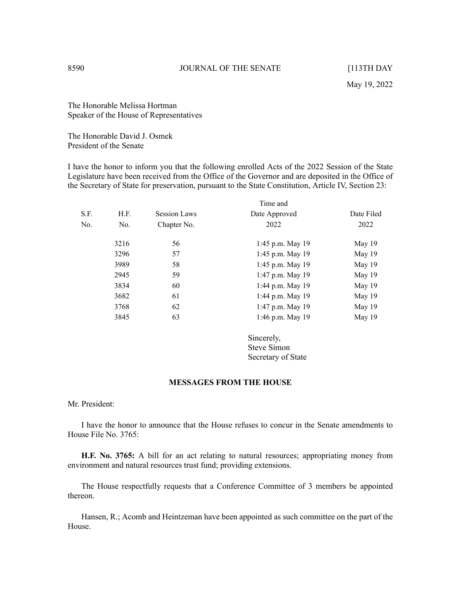The Honorable Melissa Hortman Speaker of the House of Representatives

The Honorable David J. Osmek President of the Senate

I have the honor to inform you that the following enrolled Acts of the 2022 Session of the State Legislature have been received from the Office of the Governor and are deposited in the Office of the Secretary of State for preservation, pursuant to the State Constitution, Article IV, Section 23:

|      |      |                     | Time and           |            |
|------|------|---------------------|--------------------|------------|
| S.F. | H.F. | <b>Session Laws</b> | Date Approved      | Date Filed |
| No.  | No.  | Chapter No.         | 2022               | 2022       |
|      | 3216 | 56                  | 1:45 p.m. May $19$ | May 19     |
|      | 3296 | 57                  | 1:45 p.m. May $19$ | May 19     |
|      | 3989 | 58                  | 1:45 p.m. May $19$ | May 19     |
|      | 2945 | 59                  | 1:47 p.m. May 19   | May 19     |
|      | 3834 | 60                  | 1:44 p.m. May 19   | May 19     |
|      | 3682 | 61                  | 1:44 p.m. May 19   | May 19     |
|      | 3768 | 62                  | 1:47 p.m. May 19   | May 19     |
|      | 3845 | 63                  | 1:46 p.m. May 19   | May 19     |
|      |      |                     |                    |            |

Sincerely, Steve Simon Secretary of State

### **MESSAGES FROM THE HOUSE**

Mr. President:

I have the honor to announce that the House refuses to concur in the Senate amendments to House File No. 3765:

**H.F. No. 3765:** A bill for an act relating to natural resources; appropriating money from environment and natural resources trust fund; providing extensions.

The House respectfully requests that a Conference Committee of 3 members be appointed thereon.

Hansen, R.; Acomb and Heintzeman have been appointed as such committee on the part of the House.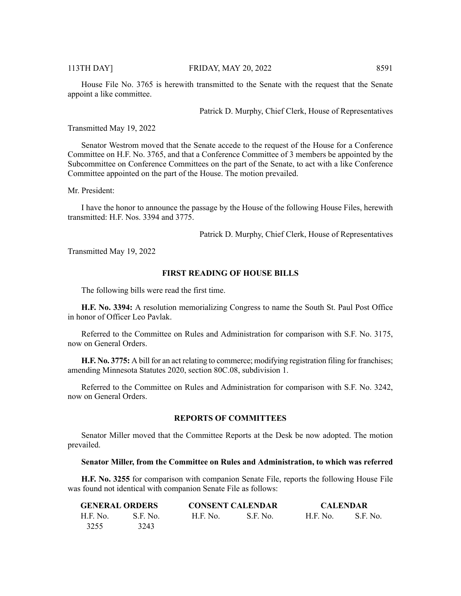House File No. 3765 is herewith transmitted to the Senate with the request that the Senate appoint a like committee.

Patrick D. Murphy, Chief Clerk, House of Representatives

Transmitted May 19, 2022

Senator Westrom moved that the Senate accede to the request of the House for a Conference Committee on H.F. No. 3765, and that a Conference Committee of 3 members be appointed by the Subcommittee on Conference Committees on the part of the Senate, to act with a like Conference Committee appointed on the part of the House. The motion prevailed.

Mr. President:

I have the honor to announce the passage by the House of the following House Files, herewith transmitted: H.F. Nos. 3394 and 3775.

Patrick D. Murphy, Chief Clerk, House of Representatives

Transmitted May 19, 2022

# **FIRST READING OF HOUSE BILLS**

The following bills were read the first time.

**H.F. No. 3394:** A resolution memorializing Congress to name the South St. Paul Post Office in honor of Officer Leo Pavlak.

Referred to the Committee on Rules and Administration for comparison with S.F. No. 3175, now on General Orders.

**H.F. No. 3775:** A bill for an act relating to commerce; modifying registration filing for franchises; amending Minnesota Statutes 2020, section 80C.08, subdivision 1.

Referred to the Committee on Rules and Administration for comparison with S.F. No. 3242, now on General Orders.

# **REPORTS OF COMMITTEES**

Senator Miller moved that the Committee Reports at the Desk be now adopted. The motion prevailed.

#### **Senator Miller, from the Committee on Rules and Administration, to which was referred**

**H.F. No. 3255** for comparison with companion Senate File, reports the following House File was found not identical with companion Senate File as follows:

| <b>GENERAL ORDERS</b> |                 |                 | <b>CONSENT CALENDAR</b> |                 | <b>CALENDAR</b> |  |
|-----------------------|-----------------|-----------------|-------------------------|-----------------|-----------------|--|
| H.F. No.              | <b>S.E. No.</b> | <b>H.F. No.</b> | S.F. No.                | <b>H.F. No.</b> | S.F. No.        |  |
| 3255                  | 3243            |                 |                         |                 |                 |  |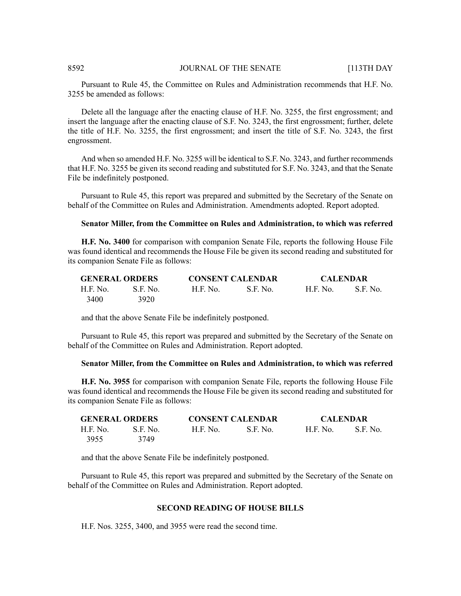Pursuant to Rule 45, the Committee on Rules and Administration recommends that H.F. No. 3255 be amended as follows:

Delete all the language after the enacting clause of H.F. No. 3255, the first engrossment; and insert the language after the enacting clause of S.F. No. 3243, the first engrossment; further, delete the title of H.F. No. 3255, the first engrossment; and insert the title of S.F. No. 3243, the first engrossment.

And when so amended H.F. No. 3255 will be identical to S.F. No. 3243, and further recommends that H.F. No. 3255 be given its second reading and substituted for S.F. No. 3243, and that the Senate File be indefinitely postponed.

Pursuant to Rule 45, this report was prepared and submitted by the Secretary of the Senate on behalf of the Committee on Rules and Administration. Amendments adopted. Report adopted.

# **Senator Miller, from the Committee on Rules and Administration, to which was referred**

**H.F. No. 3400** for comparison with companion Senate File, reports the following House File was found identical and recommends the House File be given its second reading and substituted for its companion Senate File as follows:

| <b>GENERAL ORDERS</b> |          |           | <b>CONSENT CALENDAR</b> |          | <b>CALENDAR</b> |  |
|-----------------------|----------|-----------|-------------------------|----------|-----------------|--|
| H.F. No.              | S.F. No. | .H.F. No. | S.F. No.                | H.F. No. | S.F. No.        |  |
| 3400                  | 3920     |           |                         |          |                 |  |

and that the above Senate File be indefinitely postponed.

Pursuant to Rule 45, this report was prepared and submitted by the Secretary of the Senate on behalf of the Committee on Rules and Administration. Report adopted.

#### **Senator Miller, from the Committee on Rules and Administration, to which was referred**

**H.F. No. 3955** for comparison with companion Senate File, reports the following House File was found identical and recommends the House File be given its second reading and substituted for its companion Senate File as follows:

| <b>GENERAL ORDERS</b> |          | <b>CONSENT CALENDAR</b> |          | <b>CALENDAR</b> |          |
|-----------------------|----------|-------------------------|----------|-----------------|----------|
| H.F. No.              | S.F. No. | <b>H.F. No.</b>         | S.F. No. | H.F. No.        | S.F. No. |
| 3955                  | 3749     |                         |          |                 |          |

and that the above Senate File be indefinitely postponed.

Pursuant to Rule 45, this report was prepared and submitted by the Secretary of the Senate on behalf of the Committee on Rules and Administration. Report adopted.

#### **SECOND READING OF HOUSE BILLS**

H.F. Nos. 3255, 3400, and 3955 were read the second time.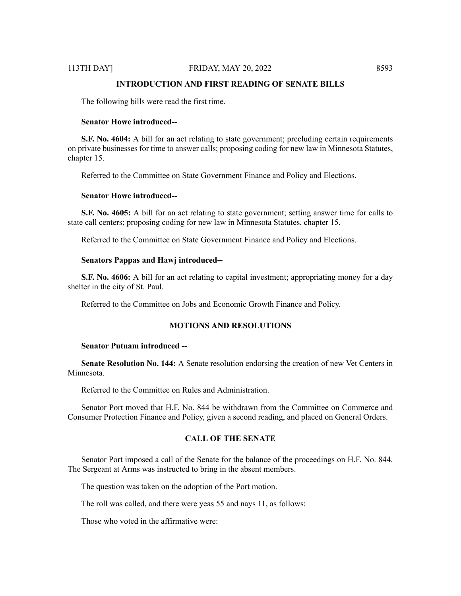# 113TH DAY] FRIDAY, MAY 20, 2022 8593

# **INTRODUCTION AND FIRST READING OF SENATE BILLS**

The following bills were read the first time.

#### **Senator Howe introduced--**

**S.F. No. 4604:** A bill for an act relating to state government; precluding certain requirements on private businesses for time to answer calls; proposing coding for new law in Minnesota Statutes, chapter 15.

Referred to the Committee on State Government Finance and Policy and Elections.

### **Senator Howe introduced--**

**S.F. No. 4605:** A bill for an act relating to state government; setting answer time for calls to state call centers; proposing coding for new law in Minnesota Statutes, chapter 15.

Referred to the Committee on State Government Finance and Policy and Elections.

#### **Senators Pappas and Hawj introduced--**

**S.F. No. 4606:** A bill for an act relating to capital investment; appropriating money for a day shelter in the city of St. Paul.

Referred to the Committee on Jobs and Economic Growth Finance and Policy.

#### **MOTIONS AND RESOLUTIONS**

#### **Senator Putnam introduced --**

**Senate Resolution No. 144:** A Senate resolution endorsing the creation of new Vet Centers in Minnesota.

Referred to the Committee on Rules and Administration.

Senator Port moved that H.F. No. 844 be withdrawn from the Committee on Commerce and Consumer Protection Finance and Policy, given a second reading, and placed on General Orders.

# **CALL OF THE SENATE**

Senator Port imposed a call of the Senate for the balance of the proceedings on H.F. No. 844. The Sergeant at Arms was instructed to bring in the absent members.

The question was taken on the adoption of the Port motion.

The roll was called, and there were yeas 55 and nays 11, as follows:

Those who voted in the affirmative were: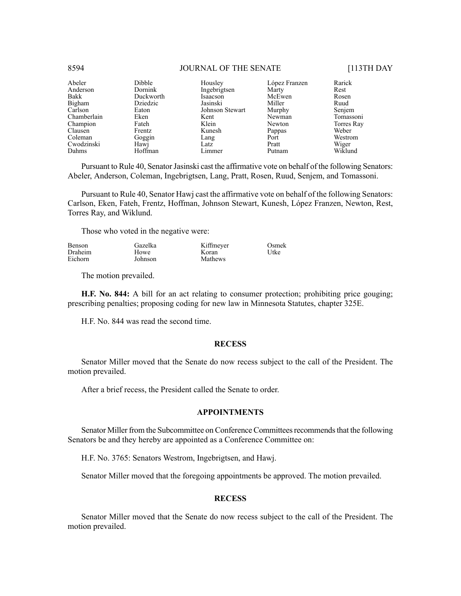| Abeler      | <b>Dibble</b> | Housley         | López Franzen | Rarick     |
|-------------|---------------|-----------------|---------------|------------|
| Anderson    | Dornink       | Ingebrigtsen    | Marty         | Rest       |
| Bakk        | Duckworth     | Isaacson        | McEwen        | Rosen      |
| Bigham      | Dziedzic      | Jasinski        | Miller        | Ruud       |
| Carlson     | Eaton         | Johnson Stewart | Murphy        | Senjem     |
| Chamberlain | Eken          | Kent            | Newman        | Tomassoni  |
| Champion    | Fateh         | Klein           | Newton        | Torres Ray |
| Clausen     | Frentz        | Kunesh          | Pappas        | Weber      |
| Coleman     | Goggin        | Lang            | Port          | Westrom    |
| Cwodzinski  | Hawj          | Latz            | Pratt         | Wiger      |
| Dahms       | Hoffman       | Limmer          | Putnam        | Wiklund    |

Pursuant to Rule 40, Senator Jasinski cast the affirmative vote on behalf of the following Senators: Abeler, Anderson, Coleman, Ingebrigtsen, Lang, Pratt, Rosen, Ruud, Senjem, and Tomassoni.

Pursuant to Rule 40, Senator Hawj cast the affirmative vote on behalf of the following Senators: Carlson, Eken, Fateh, Frentz, Hoffman, Johnson Stewart, Kunesh, López Franzen, Newton, Rest, Torres Ray, and Wiklund.

Those who voted in the negative were:

| <b>Benson</b> | Gazelka | Kiffmeyer | Osmek |
|---------------|---------|-----------|-------|
| Draheim       | Howe    | K oran    | Utke  |
| Eichorn       | Johnson | Mathews   |       |

The motion prevailed.

**H.F. No. 844:** A bill for an act relating to consumer protection; prohibiting price gouging; prescribing penalties; proposing coding for new law in Minnesota Statutes, chapter 325E.

H.F. No. 844 was read the second time.

#### **RECESS**

Senator Miller moved that the Senate do now recess subject to the call of the President. The motion prevailed.

After a brief recess, the President called the Senate to order.

# **APPOINTMENTS**

Senator Miller from the Subcommittee on Conference Committees recommends that the following Senators be and they hereby are appointed as a Conference Committee on:

H.F. No. 3765: Senators Westrom, Ingebrigtsen, and Hawj.

Senator Miller moved that the foregoing appointments be approved. The motion prevailed.

#### **RECESS**

Senator Miller moved that the Senate do now recess subject to the call of the President. The motion prevailed.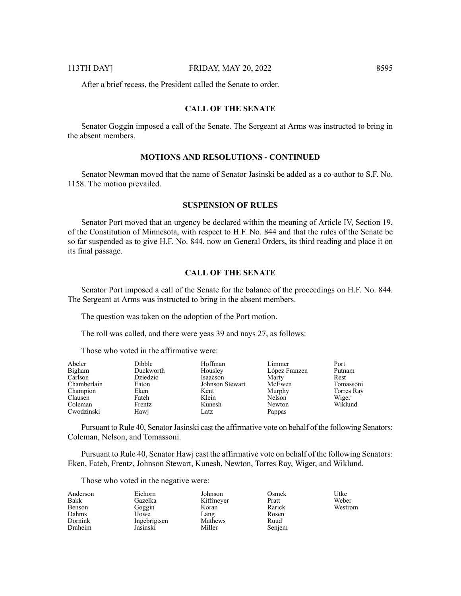After a brief recess, the President called the Senate to order.

# **CALL OF THE SENATE**

Senator Goggin imposed a call of the Senate. The Sergeant at Arms was instructed to bring in the absent members.

# **MOTIONS AND RESOLUTIONS - CONTINUED**

Senator Newman moved that the name of Senator Jasinski be added as a co-author to S.F. No. 1158. The motion prevailed.

#### **SUSPENSION OF RULES**

Senator Port moved that an urgency be declared within the meaning of Article IV, Section 19, of the Constitution of Minnesota, with respect to H.F. No. 844 and that the rules of the Senate be so far suspended as to give H.F. No. 844, now on General Orders, its third reading and place it on its final passage.

# **CALL OF THE SENATE**

Senator Port imposed a call of the Senate for the balance of the proceedings on H.F. No. 844. The Sergeant at Arms was instructed to bring in the absent members.

The question was taken on the adoption of the Port motion.

The roll was called, and there were yeas 39 and nays 27, as follows:

Those who voted in the affirmative were:

| Abeler      | <b>Dibble</b> | Hoffman         | Limmer        | Port       |
|-------------|---------------|-----------------|---------------|------------|
| Bigham      | Duckworth     | Housley         | López Franzen | Putnam     |
| Carlson     | Dziedzic      | Isaacson        | Marty         | Rest       |
| Chamberlain | Eaton         | Johnson Stewart | McEwen        | Tomassoni  |
| Champion    | Eken          | Kent            | Murphy        | Torres Ray |
| Clausen     | Fateh         | Klein           | Nelson        | Wiger      |
| Coleman     | Frentz        | Kunesh          | Newton        | Wiklund    |
| Cwodzinski  | Hawj          | Latz            | Pappas        |            |

Pursuant to Rule 40, Senator Jasinski cast the affirmative vote on behalf of the following Senators: Coleman, Nelson, and Tomassoni.

Pursuant to Rule 40, Senator Hawj cast the affirmative vote on behalf of the following Senators: Eken, Fateh, Frentz, Johnson Stewart, Kunesh, Newton, Torres Ray, Wiger, and Wiklund.

Those who voted in the negative were:

| Anderson | Eichorn      | Johnson   | Osmek  | Utke    |
|----------|--------------|-----------|--------|---------|
| Bakk     | Gazelka      | Kiffmeyer | Pratt  | Weber   |
| Benson   | Goggin       | Koran     | Rarick | Westrom |
| Dahms    | Howe         | Lang      | Rosen  |         |
| Dornink  | Ingebrigtsen | Mathews   | Ruud   |         |
| Draheim  | Jasinski     | Miller    | Senjem |         |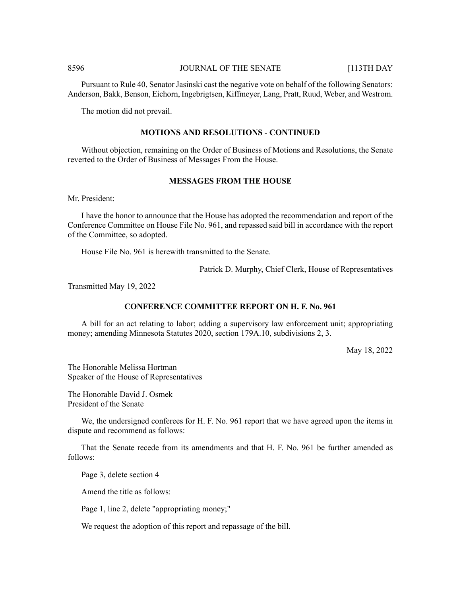Pursuant to Rule 40, Senator Jasinski cast the negative vote on behalf of the following Senators: Anderson, Bakk, Benson, Eichorn, Ingebrigtsen, Kiffmeyer, Lang, Pratt, Ruud, Weber, and Westrom.

The motion did not prevail.

# **MOTIONS AND RESOLUTIONS - CONTINUED**

Without objection, remaining on the Order of Business of Motions and Resolutions, the Senate reverted to the Order of Business of Messages From the House.

#### **MESSAGES FROM THE HOUSE**

Mr. President:

I have the honor to announce that the House has adopted the recommendation and report of the Conference Committee on House File No. 961, and repassed said bill in accordance with the report of the Committee, so adopted.

House File No. 961 is herewith transmitted to the Senate.

Patrick D. Murphy, Chief Clerk, House of Representatives

Transmitted May 19, 2022

# **CONFERENCE COMMITTEE REPORT ON H. F. No. 961**

A bill for an act relating to labor; adding a supervisory law enforcement unit; appropriating money; amending Minnesota Statutes 2020, section 179A.10, subdivisions 2, 3.

May 18, 2022

The Honorable Melissa Hortman Speaker of the House of Representatives

The Honorable David J. Osmek President of the Senate

We, the undersigned conferees for H. F. No. 961 report that we have agreed upon the items in dispute and recommend as follows:

That the Senate recede from its amendments and that H. F. No. 961 be further amended as follows:

Page 3, delete section 4

Amend the title as follows:

Page 1, line 2, delete "appropriating money;"

We request the adoption of this report and repassage of the bill.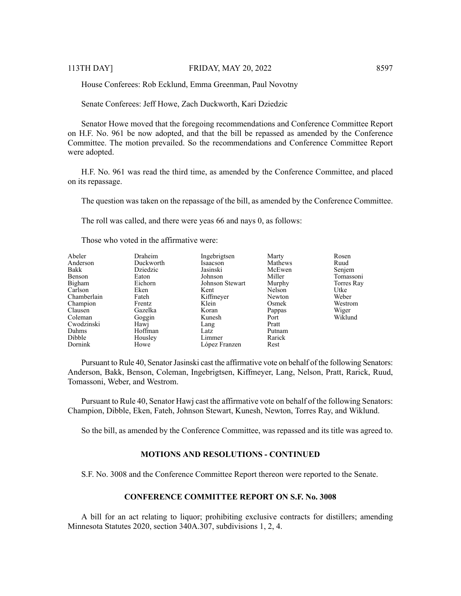House Conferees: Rob Ecklund, Emma Greenman, Paul Novotny

Senate Conferees: Jeff Howe, Zach Duckworth, Kari Dziedzic

Senator Howe moved that the foregoing recommendations and Conference Committee Report on H.F. No. 961 be now adopted, and that the bill be repassed as amended by the Conference Committee. The motion prevailed. So the recommendations and Conference Committee Report were adopted.

H.F. No. 961 was read the third time, as amended by the Conference Committee, and placed on its repassage.

The question was taken on the repassage of the bill, as amended by the Conference Committee.

The roll was called, and there were yeas 66 and nays 0, as follows:

Those who voted in the affirmative were:

| Abeler<br>Anderson<br>Bakk<br>Benson<br>Bigham<br>Carlson<br>Chamberlain<br>Champion<br>Clausen<br>Coleman<br>Cwodzinski<br>Dahms<br>Dibble | Draheim<br>Duckworth<br>Dziedzic<br>Eaton<br>Eichorn<br>Eken<br>Fateh<br><b>Frentz</b><br>Gazelka<br>Goggin<br>Hawj<br>Hoffman<br>Housley | Ingebrigtsen<br>Isaacson<br>Jasinski<br>Johnson<br>Johnson Stewart<br>Kent<br>Kiffmeyer<br>Klein<br>Koran<br>Kunesh<br>Lang<br>Latz<br>Limmer | Marty<br>Mathews<br>McEwen<br>Miller<br>Murphy<br>Nelson<br>Newton<br>Osmek<br>Pappas<br>Port<br>Pratt<br>Putnam<br>Rarick | Rosen<br>Ruud<br>Senjem<br>Tomassoni<br>Torres Ray<br>Utke<br>Weber<br>Westrom<br>Wiger<br>Wiklund |
|---------------------------------------------------------------------------------------------------------------------------------------------|-------------------------------------------------------------------------------------------------------------------------------------------|-----------------------------------------------------------------------------------------------------------------------------------------------|----------------------------------------------------------------------------------------------------------------------------|----------------------------------------------------------------------------------------------------|
| Dornink                                                                                                                                     | Howe                                                                                                                                      | López Franzen                                                                                                                                 | Rest                                                                                                                       |                                                                                                    |

Pursuant to Rule 40, Senator Jasinski cast the affirmative vote on behalf of the following Senators: Anderson, Bakk, Benson, Coleman, Ingebrigtsen, Kiffmeyer, Lang, Nelson, Pratt, Rarick, Ruud, Tomassoni, Weber, and Westrom.

Pursuant to Rule 40, Senator Hawj cast the affirmative vote on behalf of the following Senators: Champion, Dibble, Eken, Fateh, Johnson Stewart, Kunesh, Newton, Torres Ray, and Wiklund.

So the bill, as amended by the Conference Committee, was repassed and its title was agreed to.

# **MOTIONS AND RESOLUTIONS - CONTINUED**

S.F. No. 3008 and the Conference Committee Report thereon were reported to the Senate.

# **CONFERENCE COMMITTEE REPORT ON S.F. No. 3008**

A bill for an act relating to liquor; prohibiting exclusive contracts for distillers; amending Minnesota Statutes 2020, section 340A.307, subdivisions 1, 2, 4.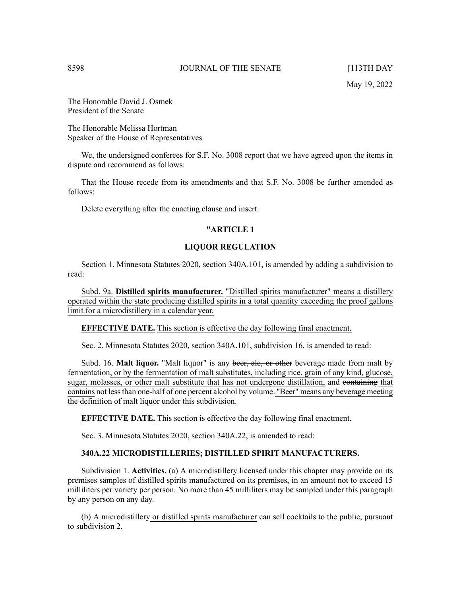The Honorable David J. Osmek President of the Senate

The Honorable Melissa Hortman Speaker of the House of Representatives

We, the undersigned conferees for S.F. No. 3008 report that we have agreed upon the items in dispute and recommend as follows:

That the House recede from its amendments and that S.F. No. 3008 be further amended as follows:

Delete everything after the enacting clause and insert:

# **"ARTICLE 1**

# **LIQUOR REGULATION**

Section 1. Minnesota Statutes 2020, section 340A.101, is amended by adding a subdivision to read:

Subd. 9a. **Distilled spirits manufacturer.** "Distilled spirits manufacturer" means a distillery operated within the state producing distilled spirits in a total quantity exceeding the proof gallons limit for a microdistillery in a calendar year.

#### **EFFECTIVE DATE.** This section is effective the day following final enactment.

Sec. 2. Minnesota Statutes 2020, section 340A.101, subdivision 16, is amended to read:

Subd. 16. **Malt liquor.** "Malt liquor" is any beer, ale, or other beverage made from malt by fermentation, or by the fermentation of malt substitutes, including rice, grain of any kind, glucose, sugar, molasses, or other malt substitute that has not undergone distillation, and containing that contains not lessthan one-half of one percent alcohol by volume. "Beer" means any beverage meeting the definition of malt liquor under this subdivision.

# **EFFECTIVE DATE.** This section is effective the day following final enactment.

Sec. 3. Minnesota Statutes 2020, section 340A.22, is amended to read:

# **340A.22 MICRODISTILLERIES; DISTILLED SPIRIT MANUFACTURERS.**

Subdivision 1. **Activities.** (a) A microdistillery licensed under this chapter may provide on its premises samples of distilled spirits manufactured on its premises, in an amount not to exceed 15 milliliters per variety per person. No more than 45 milliliters may be sampled under this paragraph by any person on any day.

(b) A microdistillery or distilled spirits manufacturer can sell cocktails to the public, pursuant to subdivision 2.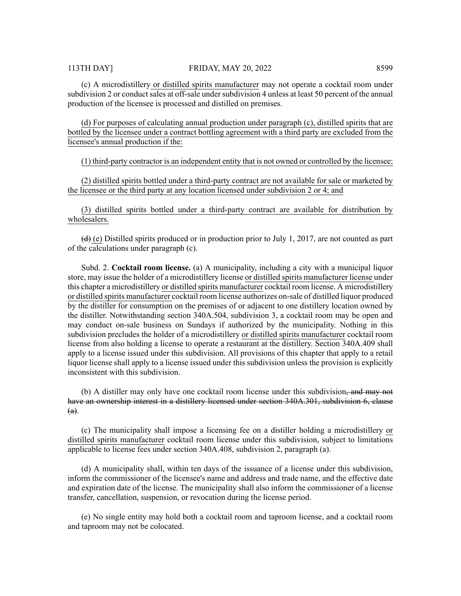(c) A microdistillery or distilled spirits manufacturer may not operate a cocktail room under subdivision 2 or conduct sales at off-sale under subdivision 4 unless at least 50 percent of the annual production of the licensee is processed and distilled on premises.

(d) For purposes of calculating annual production under paragraph (c), distilled spirits that are bottled by the licensee under a contract bottling agreement with a third party are excluded from the licensee's annual production if the:

(1) third-party contractor is an independent entity that is not owned or controlled by the licensee;

(2) distilled spirits bottled under a third-party contract are not available for sale or marketed by the licensee or the third party at any location licensed under subdivision 2 or 4; and

(3) distilled spirits bottled under a third-party contract are available for distribution by wholesalers.

 $\left(\frac{d}{d}\right)$  (e) Distilled spirits produced or in production prior to July 1, 2017, are not counted as part of the calculations under paragraph (c).

Subd. 2. **Cocktail room license.** (a) A municipality, including a city with a municipal liquor store, may issue the holder of a microdistillery license or distilled spirits manufacturer license under this chapter a microdistillery or distilled spirits manufacturer cocktail room license. A microdistillery or distilled spirits manufacturer cocktail room license authorizes on-sale of distilled liquor produced by the distiller for consumption on the premises of or adjacent to one distillery location owned by the distiller. Notwithstanding section 340A.504, subdivision 3, a cocktail room may be open and may conduct on-sale business on Sundays if authorized by the municipality. Nothing in this subdivision precludes the holder of a microdistillery or distilled spirits manufacturer cocktail room license from also holding a license to operate a restaurant at the distillery. Section 340A.409 shall apply to a license issued under this subdivision. All provisions of this chapter that apply to a retail liquor license shall apply to a license issued under this subdivision unless the provision is explicitly inconsistent with this subdivision.

(b) A distiller may only have one cocktail room license under this subdivision, and may not have an ownership interest in a distillery licensed under section 340A.301, subdivision 6, clause  $(a).$ 

(c) The municipality shall impose a licensing fee on a distiller holding a microdistillery or distilled spirits manufacturer cocktail room license under this subdivision, subject to limitations applicable to license fees under section 340A.408, subdivision 2, paragraph (a).

(d) A municipality shall, within ten days of the issuance of a license under this subdivision, inform the commissioner of the licensee's name and address and trade name, and the effective date and expiration date of the license. The municipality shall also inform the commissioner of a license transfer, cancellation, suspension, or revocation during the license period.

(e) No single entity may hold both a cocktail room and taproom license, and a cocktail room and taproom may not be colocated.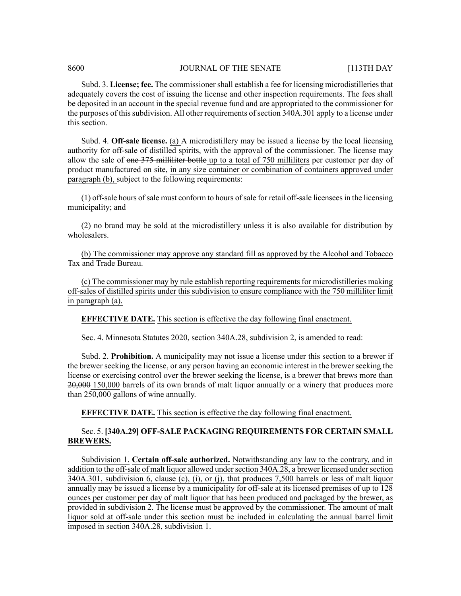Subd. 3. **License; fee.** The commissioner shall establish a fee for licensing microdistilleries that adequately covers the cost of issuing the license and other inspection requirements. The fees shall be deposited in an account in the special revenue fund and are appropriated to the commissioner for the purposes of this subdivision. All other requirements of section 340A.301 apply to a license under this section.

Subd. 4. **Off-sale license.** (a) A microdistillery may be issued a license by the local licensing authority for off-sale of distilled spirits, with the approval of the commissioner. The license may allow the sale of one 375 milliliter bottle up to a total of 750 milliliters per customer per day of product manufactured on site, in any size container or combination of containers approved under paragraph (b), subject to the following requirements:

(1) off-sale hours ofsale must conform to hours ofsale for retail off-sale licenseesin the licensing municipality; and

(2) no brand may be sold at the microdistillery unless it is also available for distribution by wholesalers.

(b) The commissioner may approve any standard fill as approved by the Alcohol and Tobacco Tax and Trade Bureau.

(c) The commissioner may by rule establish reporting requirements for microdistilleries making off-sales of distilled spirits under this subdivision to ensure compliance with the 750 milliliter limit in paragraph (a).

**EFFECTIVE DATE.** This section is effective the day following final enactment.

Sec. 4. Minnesota Statutes 2020, section 340A.28, subdivision 2, is amended to read:

Subd. 2. **Prohibition.** A municipality may not issue a license under this section to a brewer if the brewer seeking the license, or any person having an economic interest in the brewer seeking the license or exercising control over the brewer seeking the license, is a brewer that brews more than 20,000 150,000 barrels of its own brands of malt liquor annually or a winery that produces more than 250,000 gallons of wine annually.

**EFFECTIVE DATE.** This section is effective the day following final enactment.

# Sec. 5. **[340A.29] OFF-SALE PACKAGING REQUIREMENTS FOR CERTAIN SMALL BREWERS.**

Subdivision 1. **Certain off-sale authorized.** Notwithstanding any law to the contrary, and in addition to the off-sale of malt liquor allowed under section 340A.28, a brewer licensed under section 340A.301, subdivision 6, clause (c), (i), or (j), that produces 7,500 barrels or less of malt liquor annually may be issued a license by a municipality for off-sale at its licensed premises of up to 128 ounces per customer per day of malt liquor that has been produced and packaged by the brewer, as provided in subdivision 2. The license must be approved by the commissioner. The amount of malt liquor sold at off-sale under this section must be included in calculating the annual barrel limit imposed in section 340A.28, subdivision 1.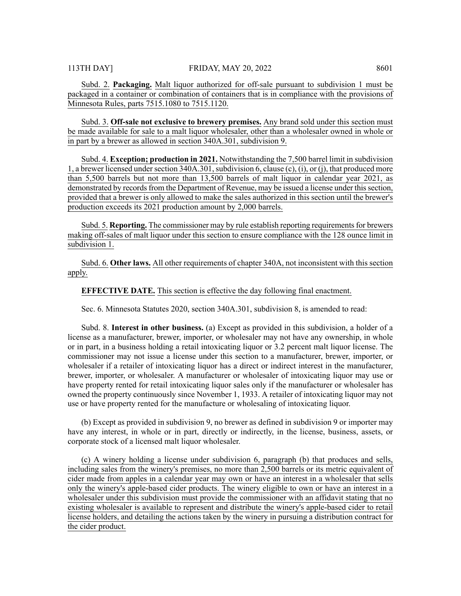Subd. 2. **Packaging.** Malt liquor authorized for off-sale pursuant to subdivision 1 must be packaged in a container or combination of containers that is in compliance with the provisions of Minnesota Rules, parts 7515.1080 to 7515.1120.

Subd. 3. **Off-sale not exclusive to brewery premises.** Any brand sold under this section must be made available for sale to a malt liquor wholesaler, other than a wholesaler owned in whole or in part by a brewer as allowed in section 340A.301, subdivision 9.

Subd. 4. **Exception; production in 2021.** Notwithstanding the 7,500 barrel limit in subdivision 1, a brewer licensed under section  $340A.301$ , subdivision 6, clause (c), (i), or (j), that produced more than 5,500 barrels but not more than 13,500 barrels of malt liquor in calendar year 2021, as demonstrated by records from the Department of Revenue, may be issued a license under this section, provided that a brewer is only allowed to make the sales authorized in this section until the brewer's production exceeds its 2021 production amount by 2,000 barrels.

Subd. 5. **Reporting.** The commissioner may by rule establish reporting requirements for brewers making off-sales of malt liquor under this section to ensure compliance with the 128 ounce limit in subdivision 1.

Subd. 6. **Other laws.** All other requirements of chapter 340A, not inconsistent with this section apply.

# **EFFECTIVE DATE.** This section is effective the day following final enactment.

Sec. 6. Minnesota Statutes 2020, section 340A.301, subdivision 8, is amended to read:

Subd. 8. **Interest in other business.** (a) Except as provided in this subdivision, a holder of a license as a manufacturer, brewer, importer, or wholesaler may not have any ownership, in whole or in part, in a business holding a retail intoxicating liquor or 3.2 percent malt liquor license. The commissioner may not issue a license under this section to a manufacturer, brewer, importer, or wholesaler if a retailer of intoxicating liquor has a direct or indirect interest in the manufacturer, brewer, importer, or wholesaler. A manufacturer or wholesaler of intoxicating liquor may use or have property rented for retail intoxicating liquor sales only if the manufacturer or wholesaler has owned the property continuously since November 1, 1933. A retailer of intoxicating liquor may not use or have property rented for the manufacture or wholesaling of intoxicating liquor.

(b) Except as provided in subdivision 9, no brewer as defined in subdivision 9 or importer may have any interest, in whole or in part, directly or indirectly, in the license, business, assets, or corporate stock of a licensed malt liquor wholesaler.

(c) A winery holding a license under subdivision 6, paragraph (b) that produces and sells, including sales from the winery's premises, no more than 2,500 barrels or its metric equivalent of cider made from apples in a calendar year may own or have an interest in a wholesaler that sells only the winery's apple-based cider products. The winery eligible to own or have an interest in a wholesaler under this subdivision must provide the commissioner with an affidavit stating that no existing wholesaler is available to represent and distribute the winery's apple-based cider to retail license holders, and detailing the actions taken by the winery in pursuing a distribution contract for the cider product.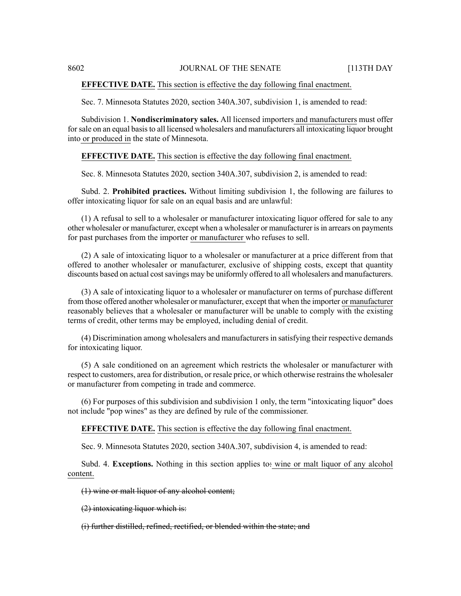### **EFFECTIVE DATE.** This section is effective the day following final enactment.

Sec. 7. Minnesota Statutes 2020, section 340A.307, subdivision 1, is amended to read:

Subdivision 1. **Nondiscriminatory sales.** All licensed importers and manufacturers must offer forsale on an equal basisto all licensed wholesalers and manufacturers all intoxicating liquor brought into or produced in the state of Minnesota.

#### **EFFECTIVE DATE.** This section is effective the day following final enactment.

Sec. 8. Minnesota Statutes 2020, section 340A.307, subdivision 2, is amended to read:

Subd. 2. **Prohibited practices.** Without limiting subdivision 1, the following are failures to offer intoxicating liquor for sale on an equal basis and are unlawful:

(1) A refusal to sell to a wholesaler or manufacturer intoxicating liquor offered for sale to any other wholesaler or manufacturer, except when a wholesaler or manufacturer isin arrears on payments for past purchases from the importer or manufacturer who refuses to sell.

(2) A sale of intoxicating liquor to a wholesaler or manufacturer at a price different from that offered to another wholesaler or manufacturer, exclusive of shipping costs, except that quantity discounts based on actual costsavings may be uniformly offered to all wholesalers and manufacturers.

(3) A sale of intoxicating liquor to a wholesaler or manufacturer on terms of purchase different from those offered another wholesaler or manufacturer, except that when the importer or manufacturer reasonably believes that a wholesaler or manufacturer will be unable to comply with the existing terms of credit, other terms may be employed, including denial of credit.

(4) Discrimination among wholesalers and manufacturers in satisfying their respective demands for intoxicating liquor.

(5) A sale conditioned on an agreement which restricts the wholesaler or manufacturer with respect to customers, area for distribution, or resale price, or which otherwise restrainsthe wholesaler or manufacturer from competing in trade and commerce.

(6) For purposes of this subdivision and subdivision 1 only, the term "intoxicating liquor" does not include "pop wines" as they are defined by rule of the commissioner.

#### **EFFECTIVE DATE.** This section is effective the day following final enactment.

Sec. 9. Minnesota Statutes 2020, section 340A.307, subdivision 4, is amended to read:

Subd. 4. **Exceptions.** Nothing in this section applies to: wine or malt liquor of any alcohol content.

#### (1) wine or malt liquor of any alcohol content;

(2) intoxicating liquor which is:

# (i) further distilled, refined, rectified, or blended within the state; and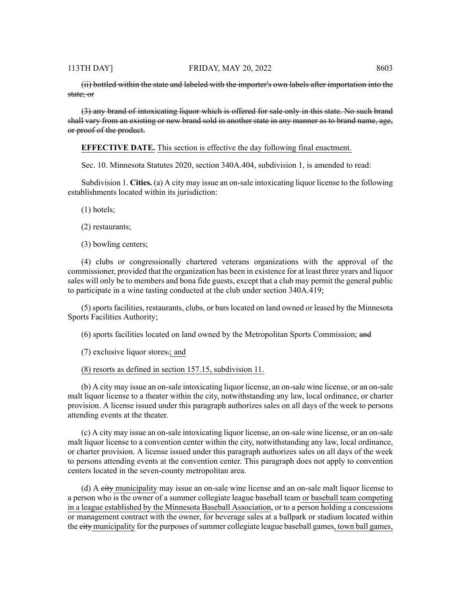(ii) bottled within the state and labeled with the importer's own labels after importation into the state; or

(3) any brand of intoxicating liquor which is offered for sale only in this state. No such brand shall vary from an existing or new brand sold in another state in any manner as to brand name, age, or proof of the product.

**EFFECTIVE DATE.** This section is effective the day following final enactment.

Sec. 10. Minnesota Statutes 2020, section 340A.404, subdivision 1, is amended to read:

Subdivision 1. **Cities.** (a) A city may issue an on-sale intoxicating liquor license to the following establishments located within its jurisdiction:

(1) hotels;

- (2) restaurants;
- (3) bowling centers;

(4) clubs or congressionally chartered veterans organizations with the approval of the commissioner, provided that the organization has been in existence for at least three years and liquor sales will only be to members and bona fide guests, except that a club may permit the general public to participate in a wine tasting conducted at the club under section 340A.419;

(5) sports facilities, restaurants, clubs, or bars located on land owned or leased by the Minnesota Sports Facilities Authority;

(6) sports facilities located on land owned by the Metropolitan Sports Commission; and

(7) exclusive liquor stores.; and

(8) resorts as defined in section 157.15, subdivision 11.

(b) A city may issue an on-sale intoxicating liquor license, an on-sale wine license, or an on-sale malt liquor license to a theater within the city, notwithstanding any law, local ordinance, or charter provision. A license issued under this paragraph authorizes sales on all days of the week to persons attending events at the theater.

(c) A city may issue an on-sale intoxicating liquor license, an on-sale wine license, or an on-sale malt liquor license to a convention center within the city, notwithstanding any law, local ordinance, or charter provision. A license issued under this paragraph authorizes sales on all days of the week to persons attending events at the convention center. This paragraph does not apply to convention centers located in the seven-county metropolitan area.

(d) A city municipality may issue an on-sale wine license and an on-sale malt liquor license to a person who is the owner of a summer collegiate league baseball team or baseball team competing in a league established by the Minnesota Baseball Association, or to a person holding a concessions or management contract with the owner, for beverage sales at a ballpark or stadium located within the eity municipality for the purposes of summer collegiate league baseball games, town ball games,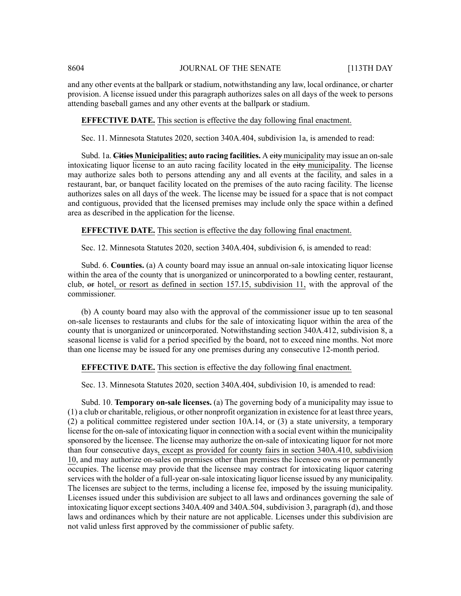and any other events at the ballpark or stadium, notwithstanding any law, local ordinance, or charter provision. A license issued under this paragraph authorizes sales on all days of the week to persons attending baseball games and any other events at the ballpark or stadium.

# **EFFECTIVE DATE.** This section is effective the day following final enactment.

Sec. 11. Minnesota Statutes 2020, section 340A.404, subdivision 1a, is amended to read:

Subd. 1a. **Cities Municipalities; auto racing facilities.** A city municipality may issue an on-sale intoxicating liquor license to an auto racing facility located in the eity municipality. The license may authorize sales both to persons attending any and all events at the facility, and sales in a restaurant, bar, or banquet facility located on the premises of the auto racing facility. The license authorizes sales on all days of the week. The license may be issued for a space that is not compact and contiguous, provided that the licensed premises may include only the space within a defined area as described in the application for the license.

#### **EFFECTIVE DATE.** This section is effective the day following final enactment.

Sec. 12. Minnesota Statutes 2020, section 340A.404, subdivision 6, is amended to read:

Subd. 6. **Counties.** (a) A county board may issue an annual on-sale intoxicating liquor license within the area of the county that is unorganized or unincorporated to a bowling center, restaurant, club, or hotel, or resort as defined in section 157.15, subdivision 11, with the approval of the commissioner.

(b) A county board may also with the approval of the commissioner issue up to ten seasonal on-sale licenses to restaurants and clubs for the sale of intoxicating liquor within the area of the county that is unorganized or unincorporated. Notwithstanding section 340A.412, subdivision 8, a seasonal license is valid for a period specified by the board, not to exceed nine months. Not more than one license may be issued for any one premises during any consecutive 12-month period.

# **EFFECTIVE DATE.** This section is effective the day following final enactment.

Sec. 13. Minnesota Statutes 2020, section 340A.404, subdivision 10, is amended to read:

Subd. 10. **Temporary on-sale licenses.** (a) The governing body of a municipality may issue to (1) a club or charitable, religious, or other nonprofit organization in existence for at least three years, (2) a political committee registered under section 10A.14, or (3) a state university, a temporary license for the on-sale of intoxicating liquor in connection with a social event within the municipality sponsored by the licensee. The license may authorize the on-sale of intoxicating liquor for not more than four consecutive days, except as provided for county fairs in section 340A.410, subdivision 10, and may authorize on-sales on premises other than premises the licensee owns or permanently occupies. The license may provide that the licensee may contract for intoxicating liquor catering services with the holder of a full-year on-sale intoxicating liquor license issued by any municipality. The licenses are subject to the terms, including a license fee, imposed by the issuing municipality. Licenses issued under this subdivision are subject to all laws and ordinances governing the sale of intoxicating liquor except sections  $340A.409$  and  $340A.504$ , subdivision 3, paragraph (d), and those laws and ordinances which by their nature are not applicable. Licenses under this subdivision are not valid unless first approved by the commissioner of public safety.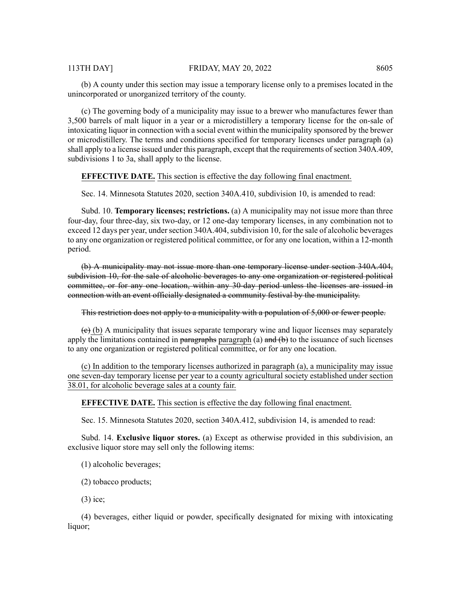(b) A county under this section may issue a temporary license only to a premises located in the unincorporated or unorganized territory of the county.

(c) The governing body of a municipality may issue to a brewer who manufactures fewer than 3,500 barrels of malt liquor in a year or a microdistillery a temporary license for the on-sale of intoxicating liquor in connection with a social event within the municipality sponsored by the brewer or microdistillery. The terms and conditions specified for temporary licenses under paragraph (a) shall apply to a license issued under this paragraph, except that the requirements of section 340A.409, subdivisions 1 to 3a, shall apply to the license.

### **EFFECTIVE DATE.** This section is effective the day following final enactment.

Sec. 14. Minnesota Statutes 2020, section 340A.410, subdivision 10, is amended to read:

Subd. 10. **Temporary licenses; restrictions.** (a) A municipality may not issue more than three four-day, four three-day, six two-day, or 12 one-day temporary licenses, in any combination not to exceed 12 days per year, under section  $340A.404$ , subdivision 10, for the sale of alcoholic beverages to any one organization or registered political committee, or for any one location, within a 12-month period.

(b) A municipality may not issue more than one temporary license under section 340A.404, subdivision 10, for the sale of alcoholic beverages to any one organization or registered political committee, or for any one location, within any 30-day period unless the licenses are issued in connection with an event officially designated a community festival by the municipality.

This restriction does not apply to a municipality with a population of 5,000 or fewer people.

 $\leftrightarrow$  (b) A municipality that issues separate temporary wine and liquor licenses may separately apply the limitations contained in paragraphs paragraph (a) and  $(b)$  to the issuance of such licenses to any one organization or registered political committee, or for any one location.

(c) In addition to the temporary licenses authorized in paragraph (a), a municipality may issue one seven-day temporary license per year to a county agricultural society established under section 38.01, for alcoholic beverage sales at a county fair.

#### **EFFECTIVE DATE.** This section is effective the day following final enactment.

Sec. 15. Minnesota Statutes 2020, section 340A.412, subdivision 14, is amended to read:

Subd. 14. **Exclusive liquor stores.** (a) Except as otherwise provided in this subdivision, an exclusive liquor store may sell only the following items:

(1) alcoholic beverages;

(2) tobacco products;

(3) ice;

(4) beverages, either liquid or powder, specifically designated for mixing with intoxicating liquor;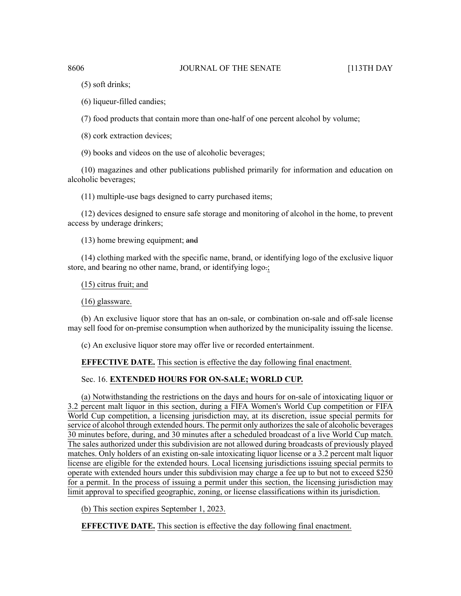(5) soft drinks;

(6) liqueur-filled candies;

(7) food products that contain more than one-half of one percent alcohol by volume;

(8) cork extraction devices;

(9) books and videos on the use of alcoholic beverages;

(10) magazines and other publications published primarily for information and education on alcoholic beverages;

(11) multiple-use bags designed to carry purchased items;

(12) devices designed to ensure safe storage and monitoring of alcohol in the home, to prevent access by underage drinkers;

(13) home brewing equipment; and

(14) clothing marked with the specific name, brand, or identifying logo of the exclusive liquor store, and bearing no other name, brand, or identifying logo.;

(15) citrus fruit; and

(16) glassware.

(b) An exclusive liquor store that has an on-sale, or combination on-sale and off-sale license may sell food for on-premise consumption when authorized by the municipality issuing the license.

(c) An exclusive liquor store may offer live or recorded entertainment.

**EFFECTIVE DATE.** This section is effective the day following final enactment.

# Sec. 16. **EXTENDED HOURS FOR ON-SALE; WORLD CUP.**

(a) Notwithstanding the restrictions on the days and hours for on-sale of intoxicating liquor or 3.2 percent malt liquor in this section, during a FIFA Women's World Cup competition or FIFA World Cup competition, a licensing jurisdiction may, at its discretion, issue special permits for service of alcohol through extended hours. The permit only authorizes the sale of alcoholic beverages 30 minutes before, during, and 30 minutes after a scheduled broadcast of a live World Cup match. The sales authorized under this subdivision are not allowed during broadcasts of previously played matches. Only holders of an existing on-sale intoxicating liquor license or a 3.2 percent malt liquor license are eligible for the extended hours. Local licensing jurisdictions issuing special permits to operate with extended hours under this subdivision may charge a fee up to but not to exceed \$250 for a permit. In the process of issuing a permit under this section, the licensing jurisdiction may limit approval to specified geographic, zoning, or license classifications within its jurisdiction.

(b) This section expires September 1, 2023.

**EFFECTIVE DATE.** This section is effective the day following final enactment.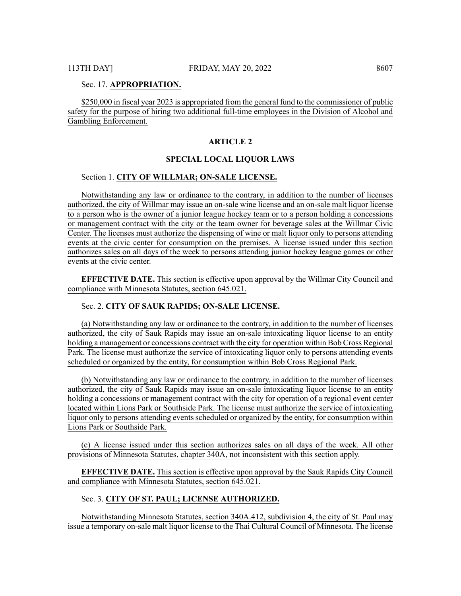#### Sec. 17. **APPROPRIATION.**

\$250,000 in fiscal year 2023 is appropriated from the general fund to the commissioner of public safety for the purpose of hiring two additional full-time employees in the Division of Alcohol and Gambling Enforcement.

### **ARTICLE 2**

## **SPECIAL LOCAL LIQUOR LAWS**

### Section 1. **CITY OF WILLMAR; ON-SALE LICENSE.**

Notwithstanding any law or ordinance to the contrary, in addition to the number of licenses authorized, the city of Willmar may issue an on-sale wine license and an on-sale malt liquor license to a person who is the owner of a junior league hockey team or to a person holding a concessions or management contract with the city or the team owner for beverage sales at the Willmar Civic Center. The licenses must authorize the dispensing of wine or malt liquor only to persons attending events at the civic center for consumption on the premises. A license issued under this section authorizes sales on all days of the week to persons attending junior hockey league games or other events at the civic center.

**EFFECTIVE DATE.** This section is effective upon approval by the Willmar City Council and compliance with Minnesota Statutes, section 645.021.

#### Sec. 2. **CITY OF SAUK RAPIDS; ON-SALE LICENSE.**

(a) Notwithstanding any law or ordinance to the contrary, in addition to the number of licenses authorized, the city of Sauk Rapids may issue an on-sale intoxicating liquor license to an entity holding a management or concessions contract with the city for operation within Bob Cross Regional Park. The license must authorize the service of intoxicating liquor only to persons attending events scheduled or organized by the entity, for consumption within Bob Cross Regional Park.

(b) Notwithstanding any law or ordinance to the contrary, in addition to the number of licenses authorized, the city of Sauk Rapids may issue an on-sale intoxicating liquor license to an entity holding a concessions or management contract with the city for operation of a regional event center located within Lions Park or Southside Park. The license must authorize the service of intoxicating liquor only to persons attending events scheduled or organized by the entity, for consumption within Lions Park or Southside Park.

(c) A license issued under this section authorizes sales on all days of the week. All other provisions of Minnesota Statutes, chapter 340A, not inconsistent with this section apply.

**EFFECTIVE DATE.** This section is effective upon approval by the Sauk Rapids City Council and compliance with Minnesota Statutes, section 645.021.

#### Sec. 3. **CITY OF ST. PAUL; LICENSE AUTHORIZED.**

Notwithstanding Minnesota Statutes, section 340A.412, subdivision 4, the city of St. Paul may issue a temporary on-sale malt liquor license to the Thai Cultural Council of Minnesota. The license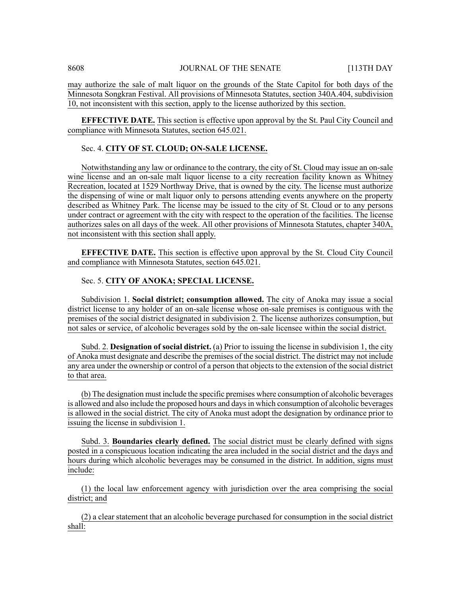may authorize the sale of malt liquor on the grounds of the State Capitol for both days of the Minnesota Songkran Festival. All provisions of Minnesota Statutes, section 340A.404, subdivision 10, not inconsistent with this section, apply to the license authorized by this section.

**EFFECTIVE DATE.** This section is effective upon approval by the St. Paul City Council and compliance with Minnesota Statutes, section 645.021.

# Sec. 4. **CITY OF ST. CLOUD; ON-SALE LICENSE.**

Notwithstanding any law or ordinance to the contrary, the city of St. Cloud may issue an on-sale wine license and an on-sale malt liquor license to a city recreation facility known as Whitney Recreation, located at 1529 Northway Drive, that is owned by the city. The license must authorize the dispensing of wine or malt liquor only to persons attending events anywhere on the property described as Whitney Park. The license may be issued to the city of St. Cloud or to any persons under contract or agreement with the city with respect to the operation of the facilities. The license authorizes sales on all days of the week. All other provisions of Minnesota Statutes, chapter 340A, not inconsistent with this section shall apply.

**EFFECTIVE DATE.** This section is effective upon approval by the St. Cloud City Council and compliance with Minnesota Statutes, section 645.021.

# Sec. 5. **CITY OF ANOKA; SPECIAL LICENSE.**

Subdivision 1. **Social district; consumption allowed.** The city of Anoka may issue a social district license to any holder of an on-sale license whose on-sale premises is contiguous with the premises of the social district designated in subdivision 2. The license authorizes consumption, but not sales or service, of alcoholic beverages sold by the on-sale licensee within the social district.

Subd. 2. **Designation of social district.** (a) Prior to issuing the license in subdivision 1, the city of Anoka must designate and describe the premises of the social district. The district may not include any area under the ownership or control of a person that objects to the extension of the social district to that area.

(b) The designation must include the specific premises where consumption of alcoholic beverages is allowed and also include the proposed hours and days in which consumption of alcoholic beverages is allowed in the social district. The city of Anoka must adopt the designation by ordinance prior to issuing the license in subdivision 1.

Subd. 3. **Boundaries clearly defined.** The social district must be clearly defined with signs posted in a conspicuous location indicating the area included in the social district and the days and hours during which alcoholic beverages may be consumed in the district. In addition, signs must include:

(1) the local law enforcement agency with jurisdiction over the area comprising the social district; and

(2) a clear statement that an alcoholic beverage purchased for consumption in the social district shall: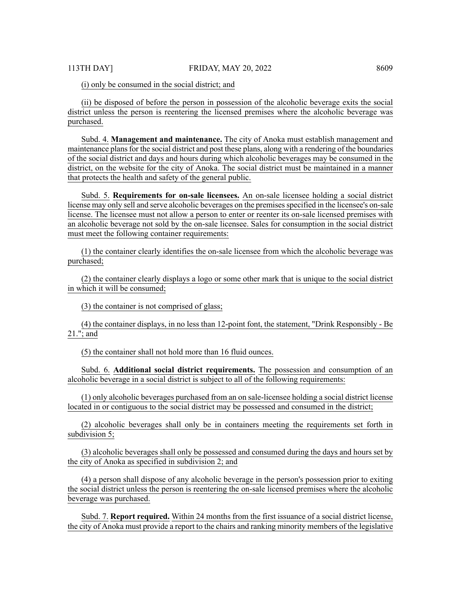(i) only be consumed in the social district; and

(ii) be disposed of before the person in possession of the alcoholic beverage exits the social district unless the person is reentering the licensed premises where the alcoholic beverage was purchased.

Subd. 4. **Management and maintenance.** The city of Anoka must establish management and maintenance plans for the social district and post these plans, along with a rendering of the boundaries of the social district and days and hours during which alcoholic beverages may be consumed in the district, on the website for the city of Anoka. The social district must be maintained in a manner that protects the health and safety of the general public.

Subd. 5. **Requirements for on-sale licensees.** An on-sale licensee holding a social district license may only sell and serve alcoholic beverages on the premises specified in the licensee's on-sale license. The licensee must not allow a person to enter or reenter its on-sale licensed premises with an alcoholic beverage not sold by the on-sale licensee. Sales for consumption in the social district must meet the following container requirements:

(1) the container clearly identifies the on-sale licensee from which the alcoholic beverage was purchased;

(2) the container clearly displays a logo or some other mark that is unique to the social district in which it will be consumed;

(3) the container is not comprised of glass;

(4) the container displays, in no less than 12-point font, the statement, "Drink Responsibly - Be 21."; and

(5) the container shall not hold more than 16 fluid ounces.

Subd. 6. **Additional social district requirements.** The possession and consumption of an alcoholic beverage in a social district is subject to all of the following requirements:

(1) only alcoholic beverages purchased from an on sale-licensee holding a social district license located in or contiguous to the social district may be possessed and consumed in the district;

(2) alcoholic beverages shall only be in containers meeting the requirements set forth in subdivision 5;

(3) alcoholic beverages shall only be possessed and consumed during the days and hours set by the city of Anoka as specified in subdivision 2; and

(4) a person shall dispose of any alcoholic beverage in the person's possession prior to exiting the social district unless the person is reentering the on-sale licensed premises where the alcoholic beverage was purchased.

Subd. 7. **Report required.** Within 24 months from the first issuance of a social district license, the city of Anoka must provide a report to the chairs and ranking minority members of the legislative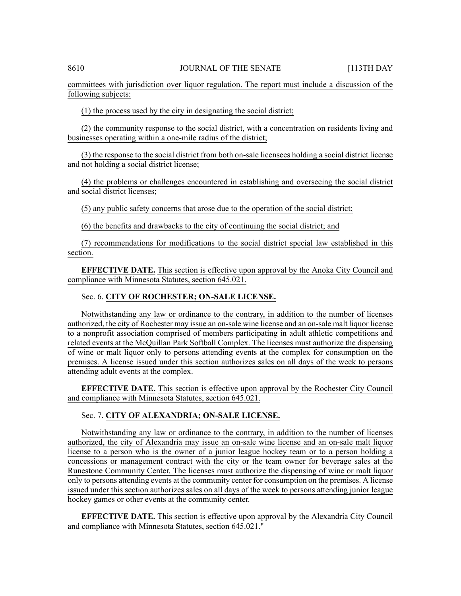committees with jurisdiction over liquor regulation. The report must include a discussion of the following subjects:

(1) the process used by the city in designating the social district;

(2) the community response to the social district, with a concentration on residents living and businesses operating within a one-mile radius of the district;

(3) the response to the social district from both on-sale licensees holding a social district license and not holding a social district license;

(4) the problems or challenges encountered in establishing and overseeing the social district and social district licenses;

(5) any public safety concerns that arose due to the operation of the social district;

(6) the benefits and drawbacks to the city of continuing the social district; and

(7) recommendations for modifications to the social district special law established in this section.

**EFFECTIVE DATE.** This section is effective upon approval by the Anoka City Council and compliance with Minnesota Statutes, section 645.021.

# Sec. 6. **CITY OF ROCHESTER; ON-SALE LICENSE.**

Notwithstanding any law or ordinance to the contrary, in addition to the number of licenses authorized, the city of Rochester may issue an on-sale wine license and an on-sale malt liquor license to a nonprofit association comprised of members participating in adult athletic competitions and related events at the McQuillan Park Softball Complex. The licenses must authorize the dispensing of wine or malt liquor only to persons attending events at the complex for consumption on the premises. A license issued under this section authorizes sales on all days of the week to persons attending adult events at the complex.

**EFFECTIVE DATE.** This section is effective upon approval by the Rochester City Council and compliance with Minnesota Statutes, section 645.021.

# Sec. 7. **CITY OF ALEXANDRIA; ON-SALE LICENSE.**

Notwithstanding any law or ordinance to the contrary, in addition to the number of licenses authorized, the city of Alexandria may issue an on-sale wine license and an on-sale malt liquor license to a person who is the owner of a junior league hockey team or to a person holding a concessions or management contract with the city or the team owner for beverage sales at the Runestone Community Center. The licenses must authorize the dispensing of wine or malt liquor only to persons attending events at the community center for consumption on the premises. A license issued under this section authorizes sales on all days of the week to persons attending junior league hockey games or other events at the community center.

**EFFECTIVE DATE.** This section is effective upon approval by the Alexandria City Council and compliance with Minnesota Statutes, section 645.021."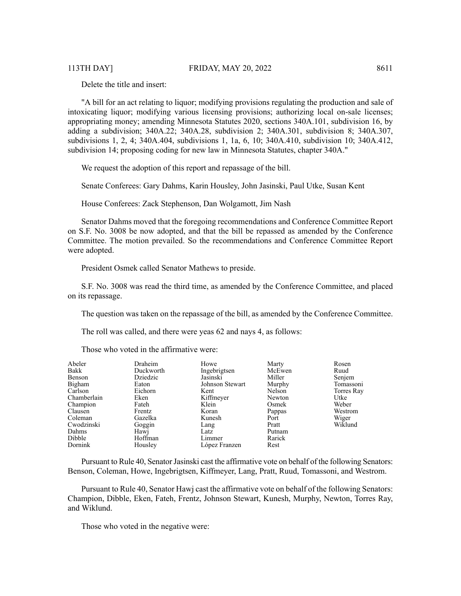Delete the title and insert:

"A bill for an act relating to liquor; modifying provisions regulating the production and sale of intoxicating liquor; modifying various licensing provisions; authorizing local on-sale licenses; appropriating money; amending Minnesota Statutes 2020, sections 340A.101, subdivision 16, by adding a subdivision; 340A.22; 340A.28, subdivision 2; 340A.301, subdivision 8; 340A.307, subdivisions 1, 2, 4; 340A.404, subdivisions 1, 1a, 6, 10; 340A.410, subdivision 10; 340A.412, subdivision 14; proposing coding for new law in Minnesota Statutes, chapter 340A."

We request the adoption of this report and repassage of the bill.

Senate Conferees: Gary Dahms, Karin Housley, John Jasinski, Paul Utke, Susan Kent

House Conferees: Zack Stephenson, Dan Wolgamott, Jim Nash

Senator Dahms moved that the foregoing recommendations and Conference Committee Report on S.F. No. 3008 be now adopted, and that the bill be repassed as amended by the Conference Committee. The motion prevailed. So the recommendations and Conference Committee Report were adopted.

President Osmek called Senator Mathews to preside.

S.F. No. 3008 was read the third time, as amended by the Conference Committee, and placed on its repassage.

The question was taken on the repassage of the bill, as amended by the Conference Committee.

The roll was called, and there were yeas 62 and nays 4, as follows:

Those who voted in the affirmative were:

| Abeler      | Draheim   | Howe            | Marty  | Rosen      |
|-------------|-----------|-----------------|--------|------------|
| Bakk        | Duckworth | Ingebrigtsen    | McEwen | Ruud       |
| Benson      | Dziedzic  | Jasinski        | Miller | Senjem     |
| Bigham      | Eaton     | Johnson Stewart | Murphy | Tomassoni  |
| Carlson     | Eichorn   | Kent            | Nelson | Torres Ray |
| Chamberlain | Eken      | Kiffmeyer       | Newton | Utke       |
| Champion    | Fateh     | Klein           | Osmek  | Weber      |
| Clausen     | Frentz    | Koran           | Pappas | Westrom    |
| Coleman     | Gazelka   | Kunesh          | Port   | Wiger      |
| Cwodzinski  | Goggin    | Lang            | Pratt  | Wiklund    |
| Dahms       | Hawj      | Latz            | Putnam |            |
| Dibble      | Hoffman   | Limmer          | Rarick |            |
| Dornink     | Housley   | López Franzen   | Rest   |            |

Pursuant to Rule 40, Senator Jasinski cast the affirmative vote on behalf of the following Senators: Benson, Coleman, Howe, Ingebrigtsen, Kiffmeyer, Lang, Pratt, Ruud, Tomassoni, and Westrom.

Pursuant to Rule 40, Senator Hawj cast the affirmative vote on behalf of the following Senators: Champion, Dibble, Eken, Fateh, Frentz, Johnson Stewart, Kunesh, Murphy, Newton, Torres Ray, and Wiklund.

Those who voted in the negative were: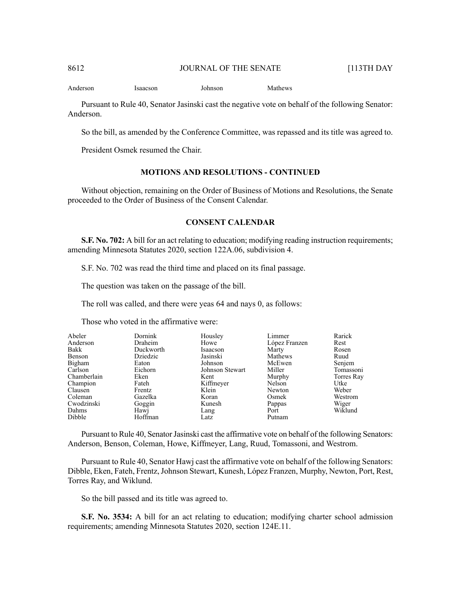Anderson Isaacson Johnson Mathews

Pursuant to Rule 40, Senator Jasinski cast the negative vote on behalf of the following Senator: Anderson.

So the bill, as amended by the Conference Committee, was repassed and its title was agreed to.

President Osmek resumed the Chair.

# **MOTIONS AND RESOLUTIONS - CONTINUED**

Without objection, remaining on the Order of Business of Motions and Resolutions, the Senate proceeded to the Order of Business of the Consent Calendar.

#### **CONSENT CALENDAR**

**S.F. No. 702:** A bill for an act relating to education; modifying reading instruction requirements; amending Minnesota Statutes 2020, section 122A.06, subdivision 4.

S.F. No. 702 was read the third time and placed on its final passage.

The question was taken on the passage of the bill.

The roll was called, and there were yeas 64 and nays 0, as follows:

Those who voted in the affirmative were:

| Abeler      | Dornink   | Housley         | Limmer        | Rarick     |
|-------------|-----------|-----------------|---------------|------------|
| Anderson    | Draheim   | Howe            | López Franzen | Rest       |
| Bakk        | Duckworth | Isaacson        | Marty         | Rosen      |
| Benson      | Dziedzic  | Jasinski        | Mathews       | Ruud       |
| Bigham      | Eaton     | Johnson         | McEwen        | Senjem     |
| Carlson     | Eichorn   | Johnson Stewart | Miller        | Tomassoni  |
| Chamberlain | Eken      | Kent            | Murphy        | Torres Ray |
| Champion    | Fateh     | Kiffmeyer       | Nelson        | Utke       |
| Clausen     | Frentz    | Klein           | Newton        | Weber      |
| Coleman     | Gazelka   | Koran           | Osmek         | Westrom    |
| Cwodzinski  | Goggin    | Kunesh          | Pappas        | Wiger      |
| Dahms       | Hawj      | Lang            | Port          | Wiklund    |
| Dibble      | Hoffman   | Latz            | Putnam        |            |

Pursuant to Rule 40, Senator Jasinski cast the affirmative vote on behalf of the following Senators: Anderson, Benson, Coleman, Howe, Kiffmeyer, Lang, Ruud, Tomassoni, and Westrom.

Pursuant to Rule 40, Senator Hawj cast the affirmative vote on behalf of the following Senators: Dibble, Eken, Fateh, Frentz, Johnson Stewart, Kunesh, López Franzen, Murphy, Newton, Port, Rest, Torres Ray, and Wiklund.

So the bill passed and its title was agreed to.

**S.F. No. 3534:** A bill for an act relating to education; modifying charter school admission requirements; amending Minnesota Statutes 2020, section 124E.11.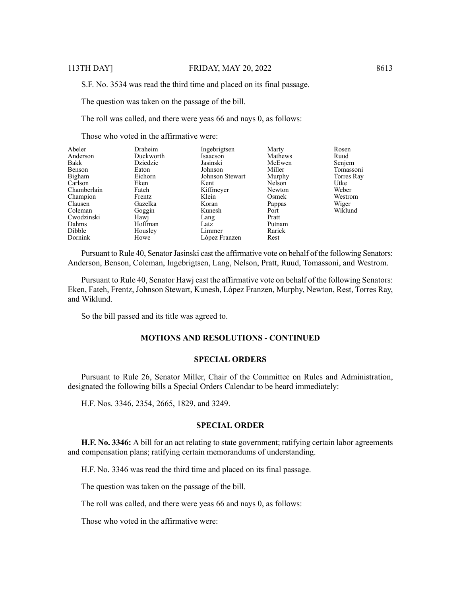S.F. No. 3534 was read the third time and placed on its final passage.

The question was taken on the passage of the bill.

The roll was called, and there were yeas 66 and nays 0, as follows:

Those who voted in the affirmative were:

| Abeler      | Draheim   | Ingebrigtsen    | Marty   | Rosen      |
|-------------|-----------|-----------------|---------|------------|
| Anderson    | Duckworth | Isaacson        | Mathews | Ruud       |
| Bakk        | Dziedzic  | Jasinski        | McEwen  | Senjem     |
| Benson      | Eaton     | Johnson         | Miller  | Tomassoni  |
| Bigham      | Eichorn   | Johnson Stewart | Murphy  | Torres Ray |
| Carlson     | Eken      | Kent            | Nelson  | Utke       |
| Chamberlain | Fateh     | Kiffmeyer       | Newton  | Weber      |
| Champion    | Frentz    | Klein           | Osmek   | Westrom    |
| Clausen     | Gazelka   | Koran           | Pappas  | Wiger      |
| Coleman     | Goggin    | Kunesh          | Port    | Wiklund    |
| Cwodzinski  | Hawi      | Lang            | Pratt   |            |
| Dahms       | Hoffman   | Latz            | Putnam  |            |
| Dibble      | Housley   | Limmer          | Rarick  |            |
| Dornink     | Howe      | López Franzen   | Rest    |            |

Pursuant to Rule 40, Senator Jasinski cast the affirmative vote on behalf of the following Senators: Anderson, Benson, Coleman, Ingebrigtsen, Lang, Nelson, Pratt, Ruud, Tomassoni, and Westrom.

Pursuant to Rule 40, Senator Hawj cast the affirmative vote on behalf of the following Senators: Eken, Fateh, Frentz, Johnson Stewart, Kunesh, López Franzen, Murphy, Newton, Rest, Torres Ray, and Wiklund.

So the bill passed and its title was agreed to.

#### **MOTIONS AND RESOLUTIONS - CONTINUED**

#### **SPECIAL ORDERS**

Pursuant to Rule 26, Senator Miller, Chair of the Committee on Rules and Administration, designated the following bills a Special Orders Calendar to be heard immediately:

H.F. Nos. 3346, 2354, 2665, 1829, and 3249.

#### **SPECIAL ORDER**

**H.F. No. 3346:** A bill for an act relating to state government; ratifying certain labor agreements and compensation plans; ratifying certain memorandums of understanding.

H.F. No. 3346 was read the third time and placed on its final passage.

The question was taken on the passage of the bill.

The roll was called, and there were yeas 66 and nays 0, as follows:

Those who voted in the affirmative were: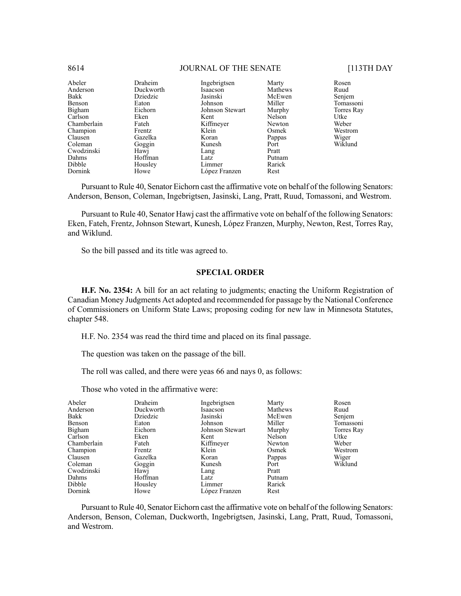| Abeler      | Draheim   | Ingebrigtsen    | Marty   | Rosen      |
|-------------|-----------|-----------------|---------|------------|
| Anderson    | Duckworth | Isaacson        | Mathews | Ruud       |
| Bakk        | Dziedzic  | Jasinski        | McEwen  | Senjem     |
| Benson      | Eaton     | Johnson         | Miller  | Tomassoni  |
| Bigham      | Eichorn   | Johnson Stewart | Murphy  | Torres Ray |
| Carlson     | Eken      | Kent            | Nelson  | Utke       |
| Chamberlain | Fateh     | Kiffmeyer       | Newton  | Weber      |
| Champion    | Frentz    | Klein           | Osmek   | Westrom    |
| Clausen     | Gazelka   | Koran           | Pappas  | Wiger      |
| Coleman     | Goggin    | Kunesh          | Port    | Wiklund    |
| Cwodzinski  | Hawj      | Lang            | Pratt   |            |
| Dahms       | Hoffman   | Latz            | Putnam  |            |
| Dibble      | Housley   | Limmer          | Rarick  |            |
| Dornink     | Howe      | López Franzen   | Rest    |            |

Pursuant to Rule 40, Senator Eichorn cast the affirmative vote on behalf of the following Senators: Anderson, Benson, Coleman, Ingebrigtsen, Jasinski, Lang, Pratt, Ruud, Tomassoni, and Westrom.

Pursuant to Rule 40, Senator Hawj cast the affirmative vote on behalf of the following Senators: Eken, Fateh, Frentz, Johnson Stewart, Kunesh, López Franzen, Murphy, Newton, Rest, Torres Ray, and Wiklund.

So the bill passed and its title was agreed to.

# **SPECIAL ORDER**

**H.F. No. 2354:** A bill for an act relating to judgments; enacting the Uniform Registration of Canadian Money Judgments Act adopted and recommended for passage by the National Conference of Commissioners on Uniform State Laws; proposing coding for new law in Minnesota Statutes, chapter 548.

H.F. No. 2354 was read the third time and placed on its final passage.

The question was taken on the passage of the bill.

The roll was called, and there were yeas 66 and nays 0, as follows:

Those who voted in the affirmative were:

| Bakk<br>Dziedzic<br>Benson<br>Eaton<br>Bigham<br>Eichorn<br>Carlson<br>Eken<br>Fateh<br>Chamberlain<br>Champion<br>Frentz<br>Clausen<br>Gazelka<br>Coleman<br>Goggin<br>Cwodzinski<br>Hawj<br>Dahms<br>Dibble<br>Housley | Kent<br>Lang<br>Hoffman<br>Latz | Jasinski<br>Johnson<br>Johnson Stewart<br>Kiffmeyer<br>Klein<br>Koran<br>Kunesh<br>Limmer | McEwen<br>Miller<br>Murphy<br>Nelson<br>Newton<br>Osmek<br>Pappas<br>Port<br>Pratt<br>Putnam<br>Rarick | Senjem<br>Tomassoni<br>Torres Ray<br>Utke<br>Weber<br>Westrom<br>Wiger<br>Wiklund |
|--------------------------------------------------------------------------------------------------------------------------------------------------------------------------------------------------------------------------|---------------------------------|-------------------------------------------------------------------------------------------|--------------------------------------------------------------------------------------------------------|-----------------------------------------------------------------------------------|
| Dornink<br>Howe                                                                                                                                                                                                          |                                 | López Franzen                                                                             | Rest                                                                                                   |                                                                                   |

Pursuant to Rule 40, Senator Eichorn cast the affirmative vote on behalf of the following Senators: Anderson, Benson, Coleman, Duckworth, Ingebrigtsen, Jasinski, Lang, Pratt, Ruud, Tomassoni, and Westrom.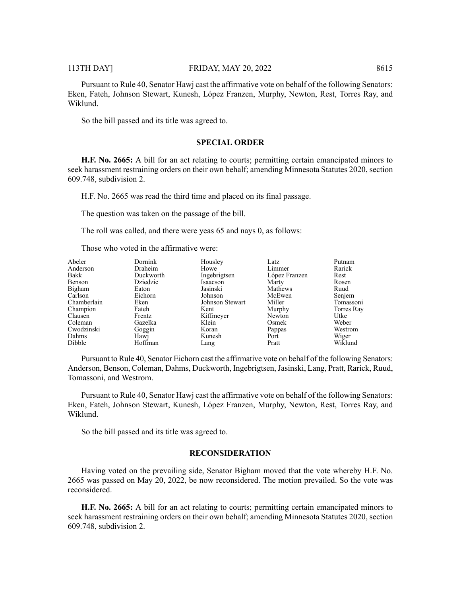Pursuant to Rule 40, Senator Hawj cast the affirmative vote on behalf of the following Senators: Eken, Fateh, Johnson Stewart, Kunesh, López Franzen, Murphy, Newton, Rest, Torres Ray, and Wiklund.

So the bill passed and its title was agreed to.

# **SPECIAL ORDER**

**H.F. No. 2665:** A bill for an act relating to courts; permitting certain emancipated minors to seek harassment restraining orders on their own behalf; amending Minnesota Statutes 2020, section 609.748, subdivision 2.

H.F. No. 2665 was read the third time and placed on its final passage.

The question was taken on the passage of the bill.

The roll was called, and there were yeas 65 and nays 0, as follows:

Those who voted in the affirmative were:

| Abeler      | Dornink   | Housley         | Latz          | Putnam     |
|-------------|-----------|-----------------|---------------|------------|
| Anderson    | Draheim   | Howe            | Limmer        | Rarick     |
| Bakk        | Duckworth | Ingebrigtsen    | López Franzen | Rest       |
| Benson      | Dziedzic  | Isaacson        | Marty         | Rosen      |
| Bigham      | Eaton     | Jasinski        | Mathews       | Ruud       |
| Carlson     | Eichorn   | Johnson         | McEwen        | Senjem     |
| Chamberlain | Eken      | Johnson Stewart | Miller        | Tomassoni  |
| Champion    | Fateh     | Kent            | Murphy        | Torres Ray |
| Clausen     | Frentz    | Kiffmeyer       | Newton        | Utke       |
| Coleman     | Gazelka   | Klein           | Osmek         | Weber      |
| Cwodzinski  | Goggin    | Koran           | Pappas        | Westrom    |
| Dahms       | Hawi      | Kunesh          | Port          | Wiger      |
| Dibble      | Hoffman   | Lang            | Pratt         | Wiklund    |

Pursuant to Rule 40, Senator Eichorn cast the affirmative vote on behalf of the following Senators: Anderson, Benson, Coleman, Dahms, Duckworth, Ingebrigtsen, Jasinski, Lang, Pratt, Rarick, Ruud, Tomassoni, and Westrom.

Pursuant to Rule 40, Senator Hawj cast the affirmative vote on behalf of the following Senators: Eken, Fateh, Johnson Stewart, Kunesh, López Franzen, Murphy, Newton, Rest, Torres Ray, and Wiklund.

So the bill passed and its title was agreed to.

#### **RECONSIDERATION**

Having voted on the prevailing side, Senator Bigham moved that the vote whereby H.F. No. 2665 was passed on May 20, 2022, be now reconsidered. The motion prevailed. So the vote was reconsidered.

**H.F. No. 2665:** A bill for an act relating to courts; permitting certain emancipated minors to seek harassment restraining orders on their own behalf; amending Minnesota Statutes 2020, section 609.748, subdivision 2.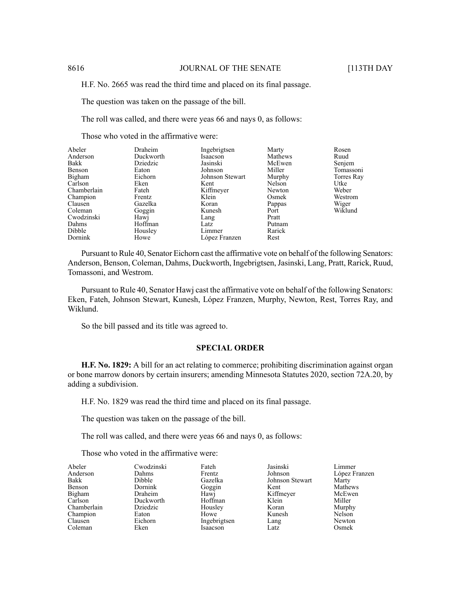H.F. No. 2665 was read the third time and placed on its final passage.

The question was taken on the passage of the bill.

The roll was called, and there were yeas 66 and nays 0, as follows:

Those who voted in the affirmative were:

| Abeler      | Draheim   | Ingebrigtsen    | Marty   | Rosen      |
|-------------|-----------|-----------------|---------|------------|
| Anderson    | Duckworth | Isaacson        | Mathews | Ruud       |
| Bakk        | Dziedzic  | Jasinski        | McEwen  | Senjem     |
| Benson      | Eaton     | Johnson         | Miller  | Tomassoni  |
| Bigham      | Eichorn   | Johnson Stewart | Murphy  | Torres Ray |
| Carlson     | Eken      | Kent            | Nelson  | Utke       |
| Chamberlain | Fateh     | Kiffmeyer       | Newton  | Weber      |
| Champion    | Frentz    | Klein           | Osmek   | Westrom    |
| Clausen     | Gazelka   | Koran           | Pappas  | Wiger      |
| Coleman     | Goggin    | Kunesh          | Port    | Wiklund    |
| Cwodzinski  | Hawj      | Lang            | Pratt   |            |
| Dahms       | Hoffman   | Latz            | Putnam  |            |
| Dibble      | Housley   | Limmer          | Rarick  |            |
| Dornink     | Howe      | López Franzen   | Rest    |            |

Pursuant to Rule 40, Senator Eichorn cast the affirmative vote on behalf of the following Senators: Anderson, Benson, Coleman, Dahms, Duckworth, Ingebrigtsen, Jasinski, Lang, Pratt, Rarick, Ruud, Tomassoni, and Westrom.

Pursuant to Rule 40, Senator Hawj cast the affirmative vote on behalf of the following Senators: Eken, Fateh, Johnson Stewart, Kunesh, López Franzen, Murphy, Newton, Rest, Torres Ray, and Wiklund.

So the bill passed and its title was agreed to.

# **SPECIAL ORDER**

**H.F. No. 1829:** A bill for an act relating to commerce; prohibiting discrimination against organ or bone marrow donors by certain insurers; amending Minnesota Statutes 2020, section 72A.20, by adding a subdivision.

H.F. No. 1829 was read the third time and placed on its final passage.

The question was taken on the passage of the bill.

The roll was called, and there were yeas 66 and nays 0, as follows:

Those who voted in the affirmative were:

| Abeler      | Cwodzinski | Fateh        | Jasinski        | Limmer        |
|-------------|------------|--------------|-----------------|---------------|
| Anderson    | Dahms      | Frentz       | Johnson         | López Franzen |
| Bakk        | Dibble     | Gazelka      | Johnson Stewart | Marty         |
| Benson      | Dornink    | Goggin       | Kent            | Mathews       |
| Bigham      | Draheim    | Hawi         | Kiffmeyer       | McEwen        |
| Carlson     | Duckworth  | Hoffman      | Klein           | Miller        |
| Chamberlain | Dziedzic   | Housley      | Koran           | Murphy        |
| Champion    | Eaton      | Howe         | Kunesh          | Nelson        |
| Clausen     | Eichorn    | Ingebrigtsen | Lang            | Newton        |
| Coleman     | Eken       | Isaacson     | Latz            | Osmek         |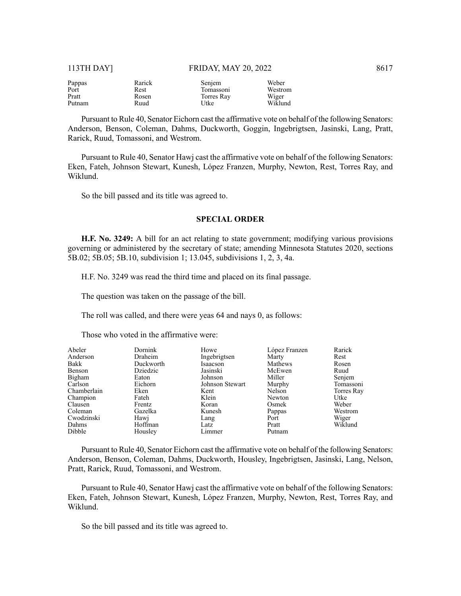| Pappas | Rarick | Senjem     | Weber   |
|--------|--------|------------|---------|
| Port   | Rest   | Tomassoni  | Westrom |
| Pratt  | Rosen  | Torres Ray | Wiger   |
| Putnam | Ruud   | Utke       | Wiklund |

Pursuant to Rule 40, Senator Eichorn cast the affirmative vote on behalf of the following Senators: Anderson, Benson, Coleman, Dahms, Duckworth, Goggin, Ingebrigtsen, Jasinski, Lang, Pratt, Rarick, Ruud, Tomassoni, and Westrom.

Pursuant to Rule 40, Senator Hawj cast the affirmative vote on behalf of the following Senators: Eken, Fateh, Johnson Stewart, Kunesh, López Franzen, Murphy, Newton, Rest, Torres Ray, and Wiklund.

So the bill passed and its title was agreed to.

# **SPECIAL ORDER**

**H.F. No. 3249:** A bill for an act relating to state government; modifying various provisions governing or administered by the secretary of state; amending Minnesota Statutes 2020, sections 5B.02; 5B.05; 5B.10, subdivision 1; 13.045, subdivisions 1, 2, 3, 4a.

H.F. No. 3249 was read the third time and placed on its final passage.

The question was taken on the passage of the bill.

The roll was called, and there were yeas 64 and nays 0, as follows:

Those who voted in the affirmative were:

| Abeler      | Dornink   | Howe            | López Franzen | Rarick     |
|-------------|-----------|-----------------|---------------|------------|
| Anderson    | Draheim   | Ingebrigtsen    | Marty         | Rest       |
| Bakk        | Duckworth | Isaacson        | Mathews       | Rosen      |
| Benson      | Dziedzic  | Jasinski        | McEwen        | Ruud       |
| Bigham      | Eaton     | Johnson         | Miller        | Senjem     |
| Carlson     | Eichorn   | Johnson Stewart | Murphy        | Tomassoni  |
| Chamberlain | Eken      | Kent            | Nelson        | Torres Ray |
| Champion    | Fateh     | Klein           | Newton        | Utke       |
| Clausen     | Frentz    | Koran           | Osmek         | Weber      |
| Coleman     | Gazelka   | Kunesh          | Pappas        | Westrom    |
| Cwodzinski  | Hawj      | Lang            | Port          | Wiger      |
| Dahms       | Hoffman   | Latz            | Pratt         | Wiklund    |
| Dibble      | Housley   | Limmer          | Putnam        |            |

Pursuant to Rule 40, Senator Eichorn cast the affirmative vote on behalf of the following Senators: Anderson, Benson, Coleman, Dahms, Duckworth, Housley, Ingebrigtsen, Jasinski, Lang, Nelson, Pratt, Rarick, Ruud, Tomassoni, and Westrom.

Pursuant to Rule 40, Senator Hawj cast the affirmative vote on behalf of the following Senators: Eken, Fateh, Johnson Stewart, Kunesh, López Franzen, Murphy, Newton, Rest, Torres Ray, and Wiklund.

So the bill passed and its title was agreed to.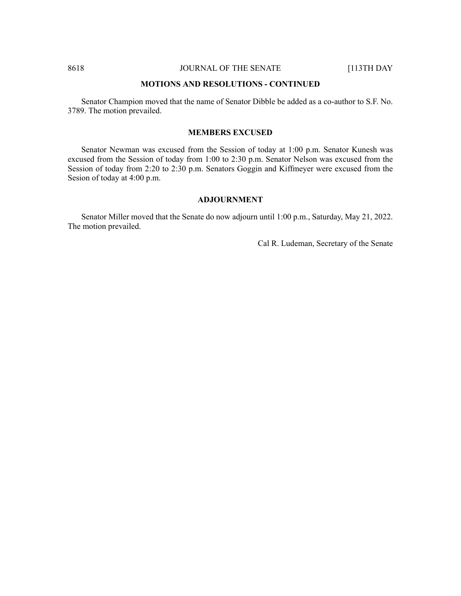#### **MOTIONS AND RESOLUTIONS - CONTINUED**

Senator Champion moved that the name of Senator Dibble be added as a co-author to S.F. No. 3789. The motion prevailed.

# **MEMBERS EXCUSED**

Senator Newman was excused from the Session of today at 1:00 p.m. Senator Kunesh was excused from the Session of today from 1:00 to 2:30 p.m. Senator Nelson was excused from the Session of today from 2:20 to 2:30 p.m. Senators Goggin and Kiffmeyer were excused from the Sesion of today at 4:00 p.m.

# **ADJOURNMENT**

Senator Miller moved that the Senate do now adjourn until 1:00 p.m., Saturday, May 21, 2022. The motion prevailed.

Cal R. Ludeman, Secretary of the Senate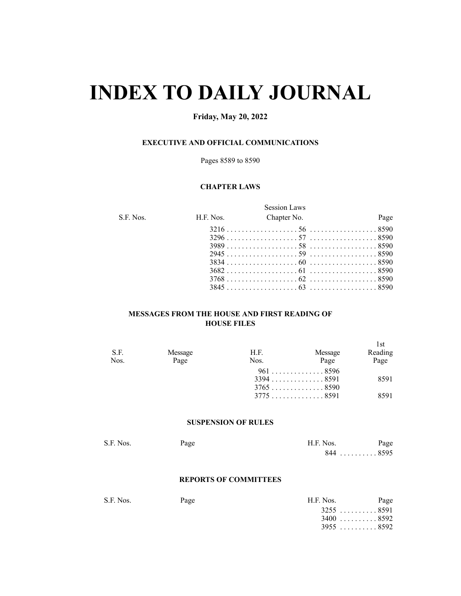# **INDEX TO DAILY JOURNAL**

# **Friday, May 20, 2022**

# **EXECUTIVE AND OFFICIAL COMMUNICATIONS**

Pages 8589 to 8590

# **CHAPTER LAWS**

|           |           | <b>Session Laws</b> |      |
|-----------|-----------|---------------------|------|
| S.F. Nos. | H.F. Nos. | Chapter No.         | Page |
|           |           |                     |      |
|           |           |                     |      |
|           |           |                     |      |
|           |           |                     |      |
|           |           |                     |      |
|           |           |                     |      |
|           |           |                     |      |
|           |           |                     |      |

# **MESSAGES FROM THE HOUSE AND FIRST READING OF HOUSE FILES**

|         |      |         | 1st                                                  |
|---------|------|---------|------------------------------------------------------|
| Message | H.F. | Message | Reading                                              |
| Page    | Nos. | Page    | Page                                                 |
|         |      |         |                                                      |
|         |      |         | 8591                                                 |
|         |      |         |                                                      |
|         |      |         | 8591                                                 |
|         |      |         | $961$ 8596<br>$3394$ 8591<br>$3765$ 8590<br>37758591 |

# **SUSPENSION OF RULES**

| S.F. Nos. | Page | H.F. Nos.  | Page |
|-----------|------|------------|------|
|           |      | $844$ 8595 |      |

#### **REPORTS OF COMMITTEES**

| S.F. Nos. | Page | H.F. Nos.   | Page |
|-----------|------|-------------|------|
|           |      | $3255$ 8591 |      |
|           |      | $3400$ 8592 |      |
|           |      | $3955$ 8592 |      |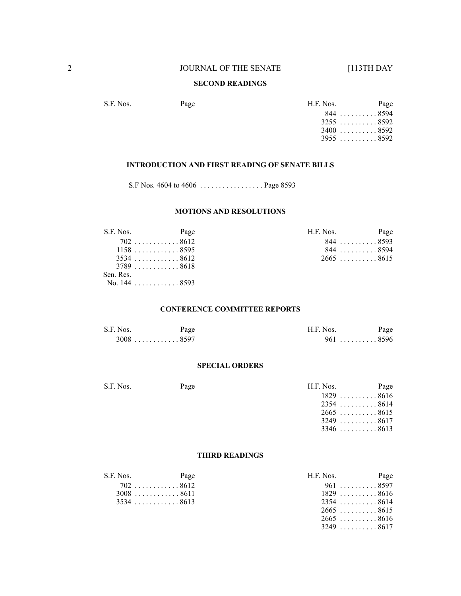# **SECOND READINGS**

S.F. Nos. Page Page H.F. Nos. Page . . . . . . . . . . 8594 . . . . . . . . . . 8592 . . . . . . . . . . 8592 . . . . . . . . . . 8592

#### **INTRODUCTION AND FIRST READING OF SENATE BILLS**

S.F Nos. 4604 to 4606 . . . . . . . . . . . . . . . . . Page 8593

# **MOTIONS AND RESOLUTIONS**

| S.F. Nos. | Page                      | H.F. Nos. | Page        |
|-----------|---------------------------|-----------|-------------|
|           | 7028612                   |           | $844$ 8593  |
|           | $1158$ 8595               |           | 8448594     |
|           | $3534$ 8612               |           | $2665$ 8615 |
|           | $3789 \ldots \ldots 8618$ |           |             |
| Sen. Res. |                           |           |             |
|           | No. 144 8593              |           |             |

## **CONFERENCE COMMITTEE REPORTS**

| S.F. Nos. | Page        | H.F. Nos.      | Page |
|-----------|-------------|----------------|------|
|           | $3008$ 8597 | . 8596<br>961. |      |

#### **SPECIAL ORDERS**

| S.F. Nos. | Page | H.F. Nos.                        | Page |
|-----------|------|----------------------------------|------|
|           |      | $1829 \ldots \ldots \ldots 8616$ |      |
|           |      | $2354$ 8614                      |      |
|           |      | $2665$ 8615                      |      |
|           |      | 3249 8617                        |      |
|           |      | $3346$ 8613                      |      |

# **THIRD READINGS**

| S.F. Nos. | Page        | H.F. Nos.          | Page |
|-----------|-------------|--------------------|------|
|           | 7028612     | 961 8597           |      |
|           | $3008$ 8611 | $1829 \ldots$ 8616 |      |
|           | 35348613    | $2354$ 8614        |      |
|           |             | $2665$ 8615        |      |
|           |             | $2665$ 8616        |      |
|           |             | $3249$ 8617        |      |